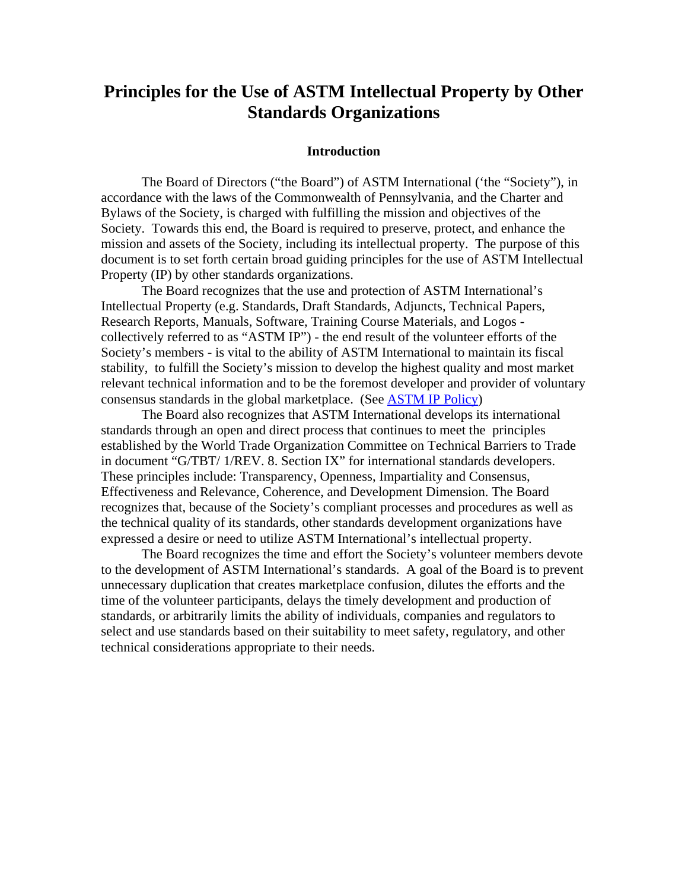# **Principles for the Use of ASTM Intellectual Property by Other Standards Organizations**

#### **Introduction**

 The Board of Directors ("the Board") of ASTM International ('the "Society"), in accordance with the laws of the Commonwealth of Pennsylvania, and the Charter and Bylaws of the Society, is charged with fulfilling the mission and objectives of the Society. Towards this end, the Board is required to preserve, protect, and enhance the mission and assets of the Society, including its intellectual property. The purpose of this document is to set forth certain broad guiding principles for the use of ASTM Intellectual Property (IP) by other standards organizations.

 The Board recognizes that the use and protection of ASTM International's Intellectual Property (e.g. Standards, Draft Standards, Adjuncts, Technical Papers, Research Reports, Manuals, Software, Training Course Materials, and Logos collectively referred to as "ASTM IP") - the end result of the volunteer efforts of the Society's members - is vital to the ability of ASTM International to maintain its fiscal stability, to fulfill the Society's mission to develop the highest quality and most market relevant technical information and to be the foremost developer and provider of voluntary consensus standards in the global marketplace. (See [ASTM IP Policy\)](http://www.astm.org/Itpolicy.pdf)

The Board also recognizes that ASTM International develops its international standards through an open and direct process that continues to meet the principles established by the World Trade Organization Committee on Technical Barriers to Trade in document "G/TBT/ 1/REV. 8. Section IX" for international standards developers. These principles include: Transparency, Openness, Impartiality and Consensus, Effectiveness and Relevance, Coherence, and Development Dimension. The Board recognizes that, because of the Society's compliant processes and procedures as well as the technical quality of its standards, other standards development organizations have expressed a desire or need to utilize ASTM International's intellectual property.

 The Board recognizes the time and effort the Society's volunteer members devote to the development of ASTM International's standards. A goal of the Board is to prevent unnecessary duplication that creates marketplace confusion, dilutes the efforts and the time of the volunteer participants, delays the timely development and production of standards, or arbitrarily limits the ability of individuals, companies and regulators to select and use standards based on their suitability to meet safety, regulatory, and other technical considerations appropriate to their needs.